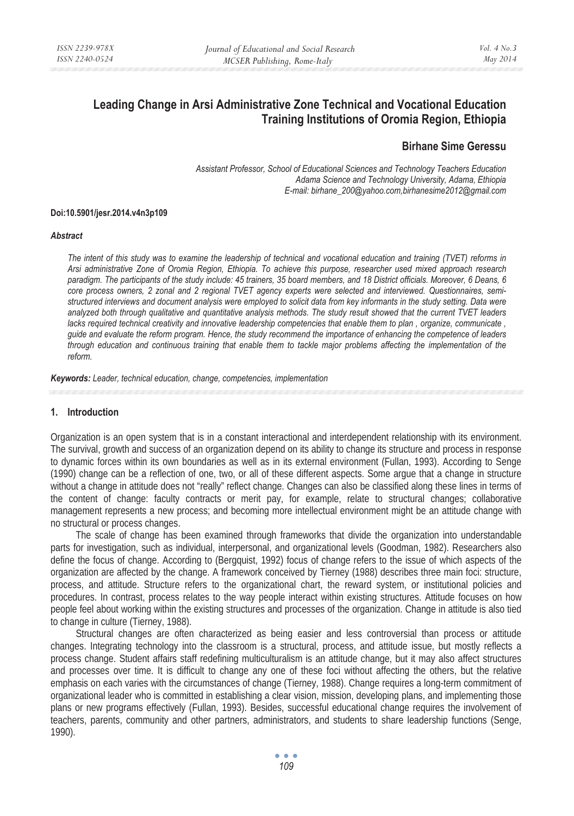# **Leading Change in Arsi Administrative Zone Technical and Vocational Education Training Institutions of Oromia Region, Ethiopia**

# **Birhane Sime Geressu**

*Assistant Professor, School of Educational Sciences and Technology Teachers Education Adama Science and Technology University, Adama, Ethiopia E-mail: birhane\_200@yahoo.com,birhanesime2012@gmail.com* 

#### **Doi:10.5901/jesr.2014.v4n3p109**

#### *Abstract*

*The intent of this study was to examine the leadership of technical and vocational education and training (TVET) reforms in Arsi administrative Zone of Oromia Region, Ethiopia. To achieve this purpose, researcher used mixed approach research paradigm. The participants of the study include: 45 trainers, 35 board members, and 18 District officials. Moreover, 6 Deans, 6 core process owners, 2 zonal and 2 regional TVET agency experts were selected and interviewed. Questionnaires, semistructured interviews and document analysis were employed to solicit data from key informants in the study setting. Data were analyzed both through qualitative and quantitative analysis methods. The study result showed that the current TVET leaders*  lacks required technical creativity and innovative leadership competencies that enable them to plan, organize, communicate, *guide and evaluate the reform program. Hence, the study recommend the importance of enhancing the competence of leaders through education and continuous training that enable them to tackle major problems affecting the implementation of the reform.* 

*Keywords: Leader, technical education, change, competencies, implementation*

#### **1. Introduction**

Organization is an open system that is in a constant interactional and interdependent relationship with its environment. The survival, growth and success of an organization depend on its ability to change its structure and process in response to dynamic forces within its own boundaries as well as in its external environment (Fullan, 1993). According to Senge (1990) change can be a reflection of one, two, or all of these different aspects. Some argue that a change in structure without a change in attitude does not "really" reflect change. Changes can also be classified along these lines in terms of the content of change: faculty contracts or merit pay, for example, relate to structural changes; collaborative management represents a new process; and becoming more intellectual environment might be an attitude change with no structural or process changes.

The scale of change has been examined through frameworks that divide the organization into understandable parts for investigation, such as individual, interpersonal, and organizational levels (Goodman, 1982). Researchers also define the focus of change. According to (Bergquist, 1992) focus of change refers to the issue of which aspects of the organization are affected by the change. A framework conceived by Tierney (1988) describes three main foci: structure, process, and attitude. Structure refers to the organizational chart, the reward system, or institutional policies and procedures. In contrast, process relates to the way people interact within existing structures. Attitude focuses on how people feel about working within the existing structures and processes of the organization. Change in attitude is also tied to change in culture (Tierney, 1988).

Structural changes are often characterized as being easier and less controversial than process or attitude changes. Integrating technology into the classroom is a structural, process, and attitude issue, but mostly reflects a process change. Student affairs staff redefining multiculturalism is an attitude change, but it may also affect structures and processes over time. It is difficult to change any one of these foci without affecting the others, but the relative emphasis on each varies with the circumstances of change (Tierney, 1988). Change requires a long-term commitment of organizational leader who is committed in establishing a clear vision, mission, developing plans, and implementing those plans or new programs effectively (Fullan, 1993). Besides, successful educational change requires the involvement of teachers, parents, community and other partners, administrators, and students to share leadership functions (Senge, 1990).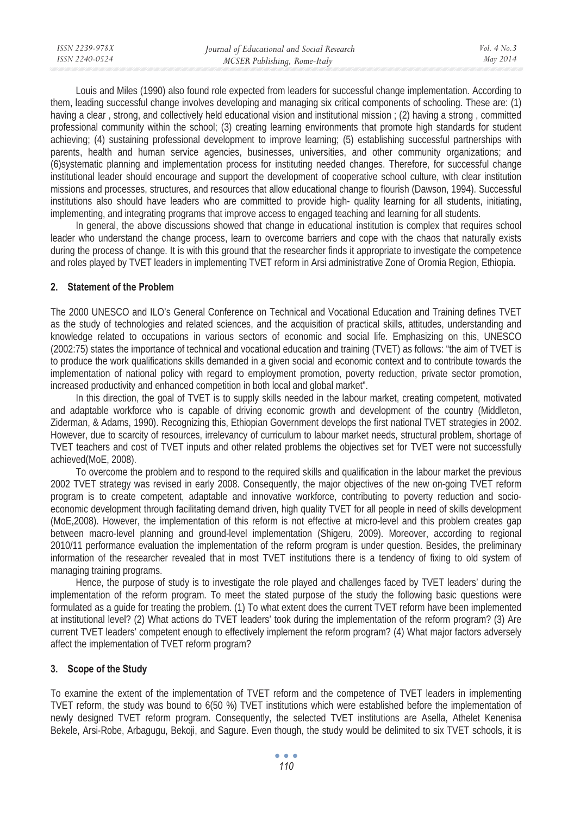| ISSN 2239-978X | Journal of Educational and Social Research | Vol. $4$ No. $3$ |
|----------------|--------------------------------------------|------------------|
| ISSN 2240-0524 | MCSER Publishing, Rome-Italy               | May 2014         |
|                |                                            |                  |

Louis and Miles (1990) also found role expected from leaders for successful change implementation. According to them, leading successful change involves developing and managing six critical components of schooling. These are: (1) having a clear , strong, and collectively held educational vision and institutional mission ; (2) having a strong , committed professional community within the school; (3) creating learning environments that promote high standards for student achieving; (4) sustaining professional development to improve learning; (5) establishing successful partnerships with parents, health and human service agencies, businesses, universities, and other community organizations; and (6)systematic planning and implementation process for instituting needed changes. Therefore, for successful change institutional leader should encourage and support the development of cooperative school culture, with clear institution missions and processes, structures, and resources that allow educational change to flourish (Dawson, 1994). Successful institutions also should have leaders who are committed to provide high- quality learning for all students, initiating, implementing, and integrating programs that improve access to engaged teaching and learning for all students.

In general, the above discussions showed that change in educational institution is complex that requires school leader who understand the change process, learn to overcome barriers and cope with the chaos that naturally exists during the process of change. It is with this ground that the researcher finds it appropriate to investigate the competence and roles played by TVET leaders in implementing TVET reform in Arsi administrative Zone of Oromia Region, Ethiopia.

## **2. Statement of the Problem**

The 2000 UNESCO and ILO's General Conference on Technical and Vocational Education and Training defines TVET as the study of technologies and related sciences, and the acquisition of practical skills, attitudes, understanding and knowledge related to occupations in various sectors of economic and social life. Emphasizing on this, UNESCO (2002:75) states the importance of technical and vocational education and training (TVET) as follows: "the aim of TVET is to produce the work qualifications skills demanded in a given social and economic context and to contribute towards the implementation of national policy with regard to employment promotion, poverty reduction, private sector promotion, increased productivity and enhanced competition in both local and global market".

In this direction, the goal of TVET is to supply skills needed in the labour market, creating competent, motivated and adaptable workforce who is capable of driving economic growth and development of the country (Middleton, Ziderman, & Adams, 1990). Recognizing this, Ethiopian Government develops the first national TVET strategies in 2002. However, due to scarcity of resources, irrelevancy of curriculum to labour market needs, structural problem, shortage of TVET teachers and cost of TVET inputs and other related problems the objectives set for TVET were not successfully achieved(MoE, 2008).

To overcome the problem and to respond to the required skills and qualification in the labour market the previous 2002 TVET strategy was revised in early 2008. Consequently, the major objectives of the new on-going TVET reform program is to create competent, adaptable and innovative workforce, contributing to poverty reduction and socioeconomic development through facilitating demand driven, high quality TVET for all people in need of skills development (MoE,2008). However, the implementation of this reform is not effective at micro-level and this problem creates gap between macro-level planning and ground-level implementation (Shigeru, 2009). Moreover, according to regional 2010/11 performance evaluation the implementation of the reform program is under question. Besides, the preliminary information of the researcher revealed that in most TVET institutions there is a tendency of fixing to old system of managing training programs.

Hence, the purpose of study is to investigate the role played and challenges faced by TVET leaders' during the implementation of the reform program. To meet the stated purpose of the study the following basic questions were formulated as a guide for treating the problem. (1) To what extent does the current TVET reform have been implemented at institutional level? (2) What actions do TVET leaders' took during the implementation of the reform program? (3) Are current TVET leaders' competent enough to effectively implement the reform program? (4) What major factors adversely affect the implementation of TVET reform program?

## **3. Scope of the Study**

To examine the extent of the implementation of TVET reform and the competence of TVET leaders in implementing TVET reform, the study was bound to 6(50 %) TVET institutions which were established before the implementation of newly designed TVET reform program. Consequently, the selected TVET institutions are Asella, Athelet Kenenisa Bekele, Arsi-Robe, Arbagugu, Bekoji, and Sagure. Even though, the study would be delimited to six TVET schools, it is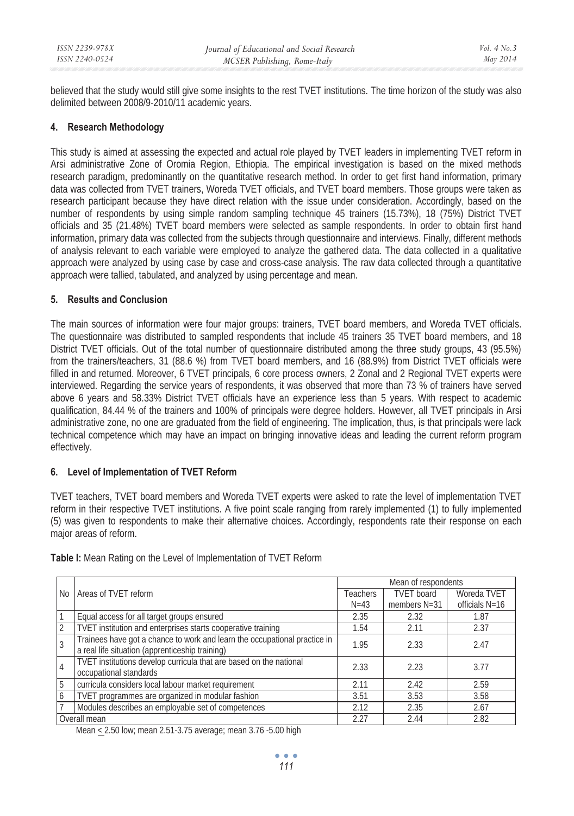believed that the study would still give some insights to the rest TVET institutions. The time horizon of the study was also delimited between 2008/9-2010/11 academic years.

## **4. Research Methodology**

This study is aimed at assessing the expected and actual role played by TVET leaders in implementing TVET reform in Arsi administrative Zone of Oromia Region, Ethiopia. The empirical investigation is based on the mixed methods research paradigm, predominantly on the quantitative research method. In order to get first hand information, primary data was collected from TVET trainers, Woreda TVET officials, and TVET board members. Those groups were taken as research participant because they have direct relation with the issue under consideration. Accordingly, based on the number of respondents by using simple random sampling technique 45 trainers (15.73%), 18 (75%) District TVET officials and 35 (21.48%) TVET board members were selected as sample respondents. In order to obtain first hand information, primary data was collected from the subjects through questionnaire and interviews. Finally, different methods of analysis relevant to each variable were employed to analyze the gathered data. The data collected in a qualitative approach were analyzed by using case by case and cross-case analysis. The raw data collected through a quantitative approach were tallied, tabulated, and analyzed by using percentage and mean.

### **5. Results and Conclusion**

The main sources of information were four major groups: trainers, TVET board members, and Woreda TVET officials. The questionnaire was distributed to sampled respondents that include 45 trainers 35 TVET board members, and 18 District TVET officials. Out of the total number of questionnaire distributed among the three study groups, 43 (95.5%) from the trainers/teachers, 31 (88.6 %) from TVET board members, and 16 (88.9%) from District TVET officials were filled in and returned. Moreover, 6 TVET principals, 6 core process owners, 2 Zonal and 2 Regional TVET experts were interviewed. Regarding the service years of respondents, it was observed that more than 73 % of trainers have served above 6 years and 58.33% District TVET officials have an experience less than 5 years. With respect to academic qualification, 84.44 % of the trainers and 100% of principals were degree holders. However, all TVET principals in Arsi administrative zone, no one are graduated from the field of engineering. The implication, thus, is that principals were lack technical competence which may have an impact on bringing innovative ideas and leading the current reform program effectively.

### **6. Level of Implementation of TVET Reform**

TVET teachers, TVET board members and Woreda TVET experts were asked to rate the level of implementation TVET reform in their respective TVET institutions. A five point scale ranging from rarely implemented (1) to fully implemented (5) was given to respondents to make their alternative choices. Accordingly, respondents rate their response on each major areas of reform.

|                | Areas of TVET reform                                                                                                         |          | Mean of respondents |                |  |  |
|----------------|------------------------------------------------------------------------------------------------------------------------------|----------|---------------------|----------------|--|--|
| No I           |                                                                                                                              |          | <b>TVET</b> board   | Woreda TVET    |  |  |
|                |                                                                                                                              | $N = 43$ | members $N=31$      | officials N=16 |  |  |
|                | Equal access for all target groups ensured                                                                                   | 2.35     | 2.32                | 1.87           |  |  |
| $\overline{2}$ | TVET institution and enterprises starts cooperative training                                                                 | 1.54     | 2.11                | 2.37           |  |  |
| 3              | Trainees have got a chance to work and learn the occupational practice in<br>a real life situation (apprenticeship training) | 1.95     | 2.33                | 2.47           |  |  |
| $\overline{4}$ | TVET institutions develop curricula that are based on the national<br>occupational standards                                 | 2.33     | 2.23                | 3.77           |  |  |
| 5              | curricula considers local labour market requirement                                                                          | 2.11     | 2.42                | 2.59           |  |  |
| 6              | TVET programmes are organized in modular fashion                                                                             | 3.51     | 3.53                | 3.58           |  |  |
|                | Modules describes an employable set of competences                                                                           |          | 2.35                | 2.67           |  |  |
|                | Overall mean                                                                                                                 | 2.27     | 2.44                | 2.82           |  |  |

**Table I:** Mean Rating on the Level of Implementation of TVET Reform

Mean < 2.50 low; mean 2.51-3.75 average; mean 3.76 -5.00 high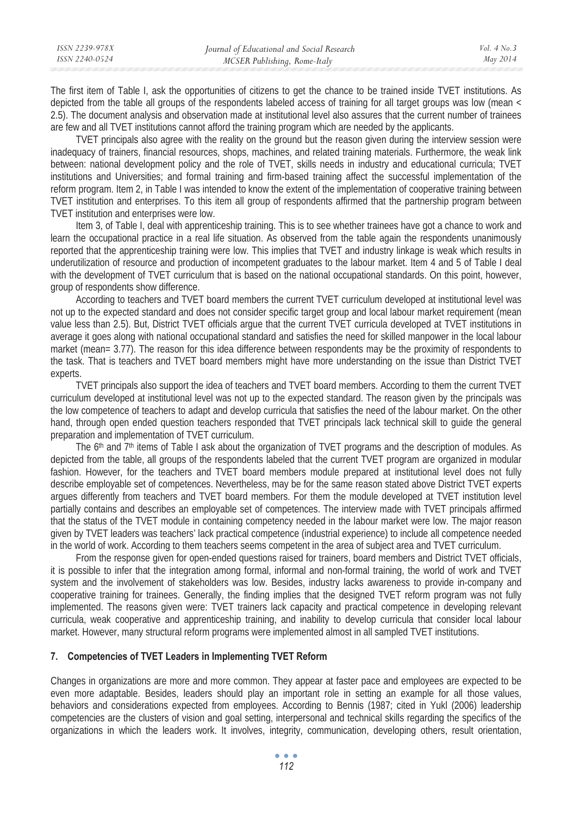| ISSN 2239-978X | Journal of Educational and Social Research | Vol. $4$ No. $3$ |
|----------------|--------------------------------------------|------------------|
| ISSN 2240-0524 | MCSER Publishing, Rome-Italy               | May 2014         |
|                |                                            |                  |

The first item of Table I, ask the opportunities of citizens to get the chance to be trained inside TVET institutions. As depicted from the table all groups of the respondents labeled access of training for all target groups was low (mean < 2.5). The document analysis and observation made at institutional level also assures that the current number of trainees are few and all TVET institutions cannot afford the training program which are needed by the applicants.

TVET principals also agree with the reality on the ground but the reason given during the interview session were inadequacy of trainers, financial resources, shops, machines, and related training materials. Furthermore, the weak link between: national development policy and the role of TVET, skills needs in industry and educational curricula; TVET institutions and Universities; and formal training and firm-based training affect the successful implementation of the reform program. Item 2, in Table I was intended to know the extent of the implementation of cooperative training between TVET institution and enterprises. To this item all group of respondents affirmed that the partnership program between TVET institution and enterprises were low.

Item 3, of Table I, deal with apprenticeship training. This is to see whether trainees have got a chance to work and learn the occupational practice in a real life situation. As observed from the table again the respondents unanimously reported that the apprenticeship training were low. This implies that TVET and industry linkage is weak which results in underutilization of resource and production of incompetent graduates to the labour market. Item 4 and 5 of Table I deal with the development of TVET curriculum that is based on the national occupational standards. On this point, however, group of respondents show difference.

According to teachers and TVET board members the current TVET curriculum developed at institutional level was not up to the expected standard and does not consider specific target group and local labour market requirement (mean value less than 2.5). But, District TVET officials argue that the current TVET curricula developed at TVET institutions in average it goes along with national occupational standard and satisfies the need for skilled manpower in the local labour market (mean= 3.77). The reason for this idea difference between respondents may be the proximity of respondents to the task. That is teachers and TVET board members might have more understanding on the issue than District TVET experts.

TVET principals also support the idea of teachers and TVET board members. According to them the current TVET curriculum developed at institutional level was not up to the expected standard. The reason given by the principals was the low competence of teachers to adapt and develop curricula that satisfies the need of the labour market. On the other hand, through open ended question teachers responded that TVET principals lack technical skill to guide the general preparation and implementation of TVET curriculum.

The 6<sup>th</sup> and 7<sup>th</sup> items of Table I ask about the organization of TVET programs and the description of modules. As depicted from the table, all groups of the respondents labeled that the current TVET program are organized in modular fashion. However, for the teachers and TVET board members module prepared at institutional level does not fully describe employable set of competences. Nevertheless, may be for the same reason stated above District TVET experts argues differently from teachers and TVET board members. For them the module developed at TVET institution level partially contains and describes an employable set of competences. The interview made with TVET principals affirmed that the status of the TVET module in containing competency needed in the labour market were low. The major reason given by TVET leaders was teachers' lack practical competence (industrial experience) to include all competence needed in the world of work. According to them teachers seems competent in the area of subject area and TVET curriculum.

From the response given for open-ended questions raised for trainers, board members and District TVET officials, it is possible to infer that the integration among formal, informal and non-formal training, the world of work and TVET system and the involvement of stakeholders was low. Besides, industry lacks awareness to provide in-company and cooperative training for trainees. Generally, the finding implies that the designed TVET reform program was not fully implemented. The reasons given were: TVET trainers lack capacity and practical competence in developing relevant curricula, weak cooperative and apprenticeship training, and inability to develop curricula that consider local labour market. However, many structural reform programs were implemented almost in all sampled TVET institutions.

### **7. Competencies of TVET Leaders in Implementing TVET Reform**

Changes in organizations are more and more common. They appear at faster pace and employees are expected to be even more adaptable. Besides, leaders should play an important role in setting an example for all those values, behaviors and considerations expected from employees. According to Bennis (1987; cited in Yukl (2006) leadership competencies are the clusters of vision and goal setting, interpersonal and technical skills regarding the specifics of the organizations in which the leaders work. It involves, integrity, communication, developing others, result orientation,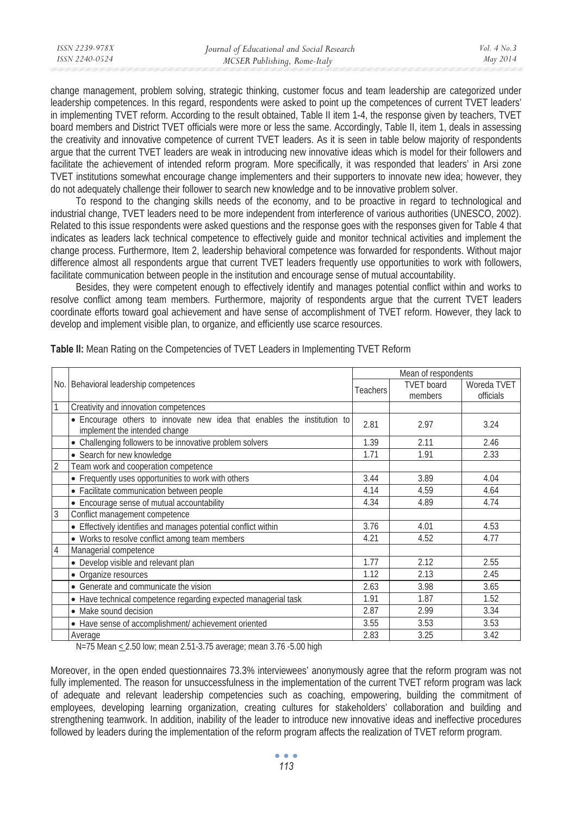| ISSN 2239-978X | Journal of Educational and Social Research | Vol. $4$ No. $3$ |
|----------------|--------------------------------------------|------------------|
| ISSN 2240-0524 | MCSER Publishing, Rome-Italy               | May 2014         |
|                |                                            |                  |

change management, problem solving, strategic thinking, customer focus and team leadership are categorized under leadership competences. In this regard, respondents were asked to point up the competences of current TVET leaders' in implementing TVET reform. According to the result obtained, Table II item 1-4, the response given by teachers, TVET board members and District TVET officials were more or less the same. Accordingly, Table II, item 1, deals in assessing the creativity and innovative competence of current TVET leaders. As it is seen in table below majority of respondents argue that the current TVET leaders are weak in introducing new innovative ideas which is model for their followers and facilitate the achievement of intended reform program. More specifically, it was responded that leaders' in Arsi zone TVET institutions somewhat encourage change implementers and their supporters to innovate new idea; however, they do not adequately challenge their follower to search new knowledge and to be innovative problem solver.

To respond to the changing skills needs of the economy, and to be proactive in regard to technological and industrial change, TVET leaders need to be more independent from interference of various authorities (UNESCO, 2002). Related to this issue respondents were asked questions and the response goes with the responses given for Table 4 that indicates as leaders lack technical competence to effectively guide and monitor technical activities and implement the change process. Furthermore, Item 2, leadership behavioral competence was forwarded for respondents. Without major difference almost all respondents argue that current TVET leaders frequently use opportunities to work with followers, facilitate communication between people in the institution and encourage sense of mutual accountability.

Besides, they were competent enough to effectively identify and manages potential conflict within and works to resolve conflict among team members. Furthermore, majority of respondents argue that the current TVET leaders coordinate efforts toward goal achievement and have sense of accomplishment of TVET reform. However, they lack to develop and implement visible plan, to organize, and efficiently use scarce resources.

|                |                                                                                                          | Mean of respondents |                              |                          |  |  |
|----------------|----------------------------------------------------------------------------------------------------------|---------------------|------------------------------|--------------------------|--|--|
|                | No. Behavioral leadership competences<br>Teachers                                                        |                     | <b>TVET</b> board<br>members | Woreda TVET<br>officials |  |  |
|                | Creativity and innovation competences                                                                    |                     |                              |                          |  |  |
|                | • Encourage others to innovate new idea that enables the institution to<br>implement the intended change | 2.81                | 2.97                         | 3.24                     |  |  |
|                | • Challenging followers to be innovative problem solvers                                                 | 1.39                | 2.11                         | 2.46                     |  |  |
|                | • Search for new knowledge                                                                               | 1.71                | 1.91                         | 2.33                     |  |  |
| $\overline{2}$ | Team work and cooperation competence                                                                     |                     |                              |                          |  |  |
|                | • Frequently uses opportunities to work with others                                                      | 3.44                | 3.89                         | 4.04                     |  |  |
|                | • Facilitate communication between people                                                                | 4.14                | 4.59                         | 4.64                     |  |  |
|                | • Encourage sense of mutual accountability                                                               | 4.34                | 4.89                         | 4.74                     |  |  |
| 3              | Conflict management competence                                                                           |                     |                              |                          |  |  |
|                | • Effectively identifies and manages potential conflict within                                           | 3.76                | 4.01                         | 4.53                     |  |  |
|                | • Works to resolve conflict among team members                                                           | 4.21                | 4.52                         | 4.77                     |  |  |
| $\overline{4}$ | Managerial competence                                                                                    |                     |                              |                          |  |  |
|                | • Develop visible and relevant plan                                                                      | 1.77                | 2.12                         | 2.55                     |  |  |
|                | • Organize resources                                                                                     | 1.12                | 2.13                         | 2.45                     |  |  |
|                | • Generate and communicate the vision                                                                    | 2.63                | 3.98                         | 3.65                     |  |  |
|                | • Have technical competence regarding expected managerial task                                           | 1.91                | 1.87                         | 1.52                     |  |  |
|                | • Make sound decision                                                                                    | 2.87                | 2.99                         | 3.34                     |  |  |
|                | • Have sense of accomplishment/ achievement oriented                                                     | 3.55                | 3.53                         | 3.53                     |  |  |
|                | Average                                                                                                  | 2.83                | 3.25                         | 3.42                     |  |  |

**Table II:** Mean Rating on the Competencies of TVET Leaders in Implementing TVET Reform

N=75 Mean < 2.50 low; mean 2.51-3.75 average; mean 3.76 -5.00 high

Moreover, in the open ended questionnaires 73.3% interviewees' anonymously agree that the reform program was not fully implemented. The reason for unsuccessfulness in the implementation of the current TVET reform program was lack of adequate and relevant leadership competencies such as coaching, empowering, building the commitment of employees, developing learning organization, creating cultures for stakeholders' collaboration and building and strengthening teamwork. In addition, inability of the leader to introduce new innovative ideas and ineffective procedures followed by leaders during the implementation of the reform program affects the realization of TVET reform program.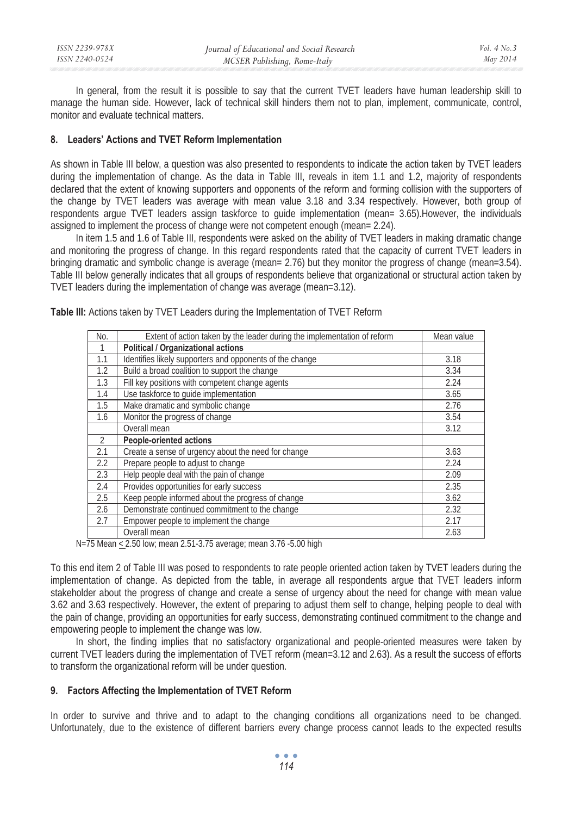| ISSN 2239-978X | Journal of Educational and Social Research | Vol. $4$ No. $3$ |
|----------------|--------------------------------------------|------------------|
| ISSN 2240-0524 | MCSER Publishing, Rome-Italy               | May 2014         |
|                |                                            |                  |

In general, from the result it is possible to say that the current TVET leaders have human leadership skill to manage the human side. However, lack of technical skill hinders them not to plan, implement, communicate, control, monitor and evaluate technical matters.

## **8. Leaders' Actions and TVET Reform Implementation**

As shown in Table III below, a question was also presented to respondents to indicate the action taken by TVET leaders during the implementation of change. As the data in Table III, reveals in item 1.1 and 1.2, majority of respondents declared that the extent of knowing supporters and opponents of the reform and forming collision with the supporters of the change by TVET leaders was average with mean value 3.18 and 3.34 respectively. However, both group of respondents argue TVET leaders assign taskforce to guide implementation (mean= 3.65).However, the individuals assigned to implement the process of change were not competent enough (mean= 2.24).

In item 1.5 and 1.6 of Table III, respondents were asked on the ability of TVET leaders in making dramatic change and monitoring the progress of change. In this regard respondents rated that the capacity of current TVET leaders in bringing dramatic and symbolic change is average (mean= 2.76) but they monitor the progress of change (mean=3.54). Table III below generally indicates that all groups of respondents believe that organizational or structural action taken by TVET leaders during the implementation of change was average (mean=3.12).

| No.            | Extent of action taken by the leader during the implementation of reform | Mean value |
|----------------|--------------------------------------------------------------------------|------------|
|                | <b>Political / Organizational actions</b>                                |            |
| 1.1            | Identifies likely supporters and opponents of the change                 | 3.18       |
| 1.2            | Build a broad coalition to support the change                            | 3.34       |
| 1.3            | Fill key positions with competent change agents                          | 2.24       |
| 1.4            | Use taskforce to guide implementation                                    | 3.65       |
| 1.5            | Make dramatic and symbolic change                                        | 2.76       |
| 1.6            | Monitor the progress of change                                           | 3.54       |
|                | Overall mean                                                             | 3.12       |
| $\overline{2}$ | <b>People-oriented actions</b>                                           |            |
| 2.1            | Create a sense of urgency about the need for change                      | 3.63       |
| 2.2            | Prepare people to adjust to change                                       | 2.24       |
| 2.3            | Help people deal with the pain of change                                 | 2.09       |
| 2.4            | Provides opportunities for early success                                 | 2.35       |
| 2.5            | Keep people informed about the progress of change                        | 3.62       |
| 2.6            | Demonstrate continued commitment to the change                           | 2.32       |
| 2.7            | Empower people to implement the change                                   | 2.17       |
|                | Overall mean                                                             | 2.63       |

**Table III:** Actions taken by TVET Leaders during the Implementation of TVET Reform

N=75 Mean < 2.50 low; mean 2.51-3.75 average; mean 3.76 -5.00 high

To this end item 2 of Table III was posed to respondents to rate people oriented action taken by TVET leaders during the implementation of change. As depicted from the table, in average all respondents argue that TVET leaders inform stakeholder about the progress of change and create a sense of urgency about the need for change with mean value 3.62 and 3.63 respectively. However, the extent of preparing to adjust them self to change, helping people to deal with the pain of change, providing an opportunities for early success, demonstrating continued commitment to the change and empowering people to implement the change was low.

In short, the finding implies that no satisfactory organizational and people-oriented measures were taken by current TVET leaders during the implementation of TVET reform (mean=3.12 and 2.63). As a result the success of efforts to transform the organizational reform will be under question.

### **9. Factors Affecting the Implementation of TVET Reform**

In order to survive and thrive and to adapt to the changing conditions all organizations need to be changed. Unfortunately, due to the existence of different barriers every change process cannot leads to the expected results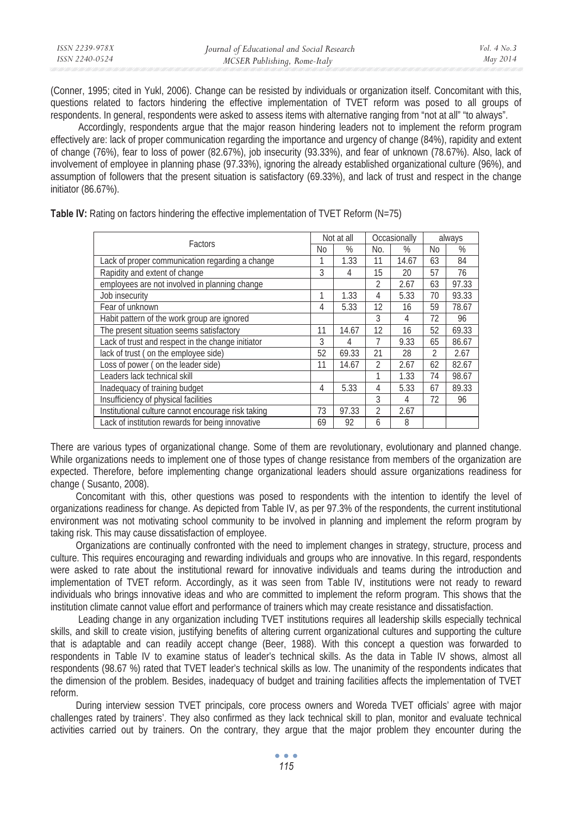| ISSN 2239-978X | Journal of Educational and Social Research | Vol. $4$ No. $3$ |
|----------------|--------------------------------------------|------------------|
| ISSN 2240-0524 | MCSER Publishing, Rome-Italy               | May 2014         |

(Conner, 1995; cited in Yukl, 2006). Change can be resisted by individuals or organization itself. Concomitant with this, questions related to factors hindering the effective implementation of TVET reform was posed to all groups of respondents. In general, respondents were asked to assess items with alternative ranging from "not at all" "to always".

 Accordingly, respondents argue that the major reason hindering leaders not to implement the reform program effectively are: lack of proper communication regarding the importance and urgency of change (84%), rapidity and extent of change (76%), fear to loss of power (82.67%), job insecurity (93.33%), and fear of unknown (78.67%). Also, lack of involvement of employee in planning phase (97.33%), ignoring the already established organizational culture (96%), and assumption of followers that the present situation is satisfactory (69.33%), and lack of trust and respect in the change initiator (86.67%).

| Factors                                            |    | Not at all |                | Occasionally |                | always |  |
|----------------------------------------------------|----|------------|----------------|--------------|----------------|--------|--|
|                                                    |    | %          | No.            | $\%$         | No             | $\%$   |  |
| Lack of proper communication regarding a change    |    | 1.33       | 11             | 14.67        | 63             | 84     |  |
| Rapidity and extent of change                      | 3  | 4          | 15             | 20           | 57             | 76     |  |
| employees are not involved in planning change      |    |            | 2              | 2.67         | 63             | 97.33  |  |
| Job insecurity                                     |    | 1.33       | 4              | 5.33         | 70             | 93.33  |  |
| Fear of unknown                                    | 4  | 5.33       | 12             | 16           | 59             | 78.67  |  |
| Habit pattern of the work group are ignored        |    |            | 3              | 4            | 72             | 96     |  |
| The present situation seems satisfactory           | 11 | 14.67      | 12             | 16           | 52             | 69.33  |  |
| Lack of trust and respect in the change initiator  | 3  | 4          |                | 9.33         | 65             | 86.67  |  |
| lack of trust (on the employee side)               | 52 | 69.33      | 21             | 28           | $\mathfrak{D}$ | 2.67   |  |
| Loss of power (on the leader side)                 | 11 | 14.67      | $\mathfrak{D}$ | 2.67         | 62             | 82.67  |  |
| Leaders lack technical skill                       |    |            |                | 1.33         | 74             | 98.67  |  |
| Inadequacy of training budget                      | 4  | 5.33       | 4              | 5.33         | 67             | 89.33  |  |
| Insufficiency of physical facilities               |    |            | 3              | 4            | 72             | 96     |  |
| Institutional culture cannot encourage risk taking | 73 | 97.33      | $\overline{2}$ | 2.67         |                |        |  |
| Lack of institution rewards for being innovative   | 69 | 92         | 6              | 8            |                |        |  |

**Table IV:** Rating on factors hindering the effective implementation of TVET Reform (N=75)

There are various types of organizational change. Some of them are revolutionary, evolutionary and planned change. While organizations needs to implement one of those types of change resistance from members of the organization are expected. Therefore, before implementing change organizational leaders should assure organizations readiness for change ( Susanto, 2008).

Concomitant with this, other questions was posed to respondents with the intention to identify the level of organizations readiness for change. As depicted from Table IV, as per 97.3% of the respondents, the current institutional environment was not motivating school community to be involved in planning and implement the reform program by taking risk. This may cause dissatisfaction of employee.

Organizations are continually confronted with the need to implement changes in strategy, structure, process and culture. This requires encouraging and rewarding individuals and groups who are innovative. In this regard, respondents were asked to rate about the institutional reward for innovative individuals and teams during the introduction and implementation of TVET reform. Accordingly, as it was seen from Table IV, institutions were not ready to reward individuals who brings innovative ideas and who are committed to implement the reform program. This shows that the institution climate cannot value effort and performance of trainers which may create resistance and dissatisfaction.

 Leading change in any organization including TVET institutions requires all leadership skills especially technical skills, and skill to create vision, justifying benefits of altering current organizational cultures and supporting the culture that is adaptable and can readily accept change (Beer, 1988). With this concept a question was forwarded to respondents in Table IV to examine status of leader's technical skills. As the data in Table IV shows, almost all respondents (98.67 %) rated that TVET leader's technical skills as low. The unanimity of the respondents indicates that the dimension of the problem. Besides, inadequacy of budget and training facilities affects the implementation of TVET reform.

During interview session TVET principals, core process owners and Woreda TVET officials' agree with major challenges rated by trainers'. They also confirmed as they lack technical skill to plan, monitor and evaluate technical activities carried out by trainers. On the contrary, they argue that the major problem they encounter during the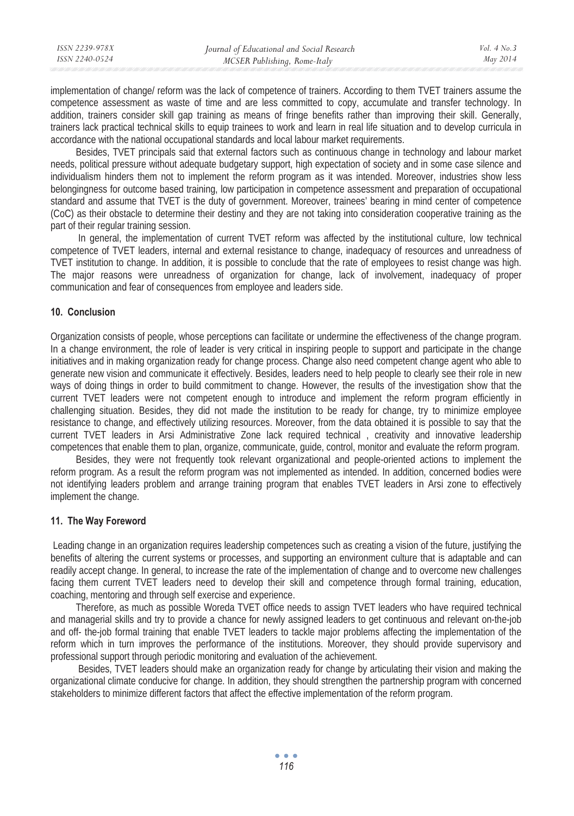| ISSN 2239-978X | Journal of Educational and Social Research | Vol. $4$ No. $3$ |
|----------------|--------------------------------------------|------------------|
| ISSN 2240-0524 | MCSER Publishing, Rome-Italy               | May 2014         |
|                |                                            |                  |

implementation of change/ reform was the lack of competence of trainers. According to them TVET trainers assume the competence assessment as waste of time and are less committed to copy, accumulate and transfer technology. In addition, trainers consider skill gap training as means of fringe benefits rather than improving their skill. Generally, trainers lack practical technical skills to equip trainees to work and learn in real life situation and to develop curricula in accordance with the national occupational standards and local labour market requirements.

Besides, TVET principals said that external factors such as continuous change in technology and labour market needs, political pressure without adequate budgetary support, high expectation of society and in some case silence and individualism hinders them not to implement the reform program as it was intended. Moreover, industries show less belongingness for outcome based training, low participation in competence assessment and preparation of occupational standard and assume that TVET is the duty of government. Moreover, trainees' bearing in mind center of competence (CoC) as their obstacle to determine their destiny and they are not taking into consideration cooperative training as the part of their regular training session.

 In general, the implementation of current TVET reform was affected by the institutional culture, low technical competence of TVET leaders, internal and external resistance to change, inadequacy of resources and unreadness of TVET institution to change. In addition, it is possible to conclude that the rate of employees to resist change was high. The major reasons were unreadness of organization for change, lack of involvement, inadequacy of proper communication and fear of consequences from employee and leaders side.

## **10. Conclusion**

Organization consists of people, whose perceptions can facilitate or undermine the effectiveness of the change program. In a change environment, the role of leader is very critical in inspiring people to support and participate in the change initiatives and in making organization ready for change process. Change also need competent change agent who able to generate new vision and communicate it effectively. Besides, leaders need to help people to clearly see their role in new ways of doing things in order to build commitment to change. However, the results of the investigation show that the current TVET leaders were not competent enough to introduce and implement the reform program efficiently in challenging situation. Besides, they did not made the institution to be ready for change, try to minimize employee resistance to change, and effectively utilizing resources. Moreover, from the data obtained it is possible to say that the current TVET leaders in Arsi Administrative Zone lack required technical , creativity and innovative leadership competences that enable them to plan, organize, communicate, guide, control, monitor and evaluate the reform program.

Besides, they were not frequently took relevant organizational and people-oriented actions to implement the reform program. As a result the reform program was not implemented as intended. In addition, concerned bodies were not identifying leaders problem and arrange training program that enables TVET leaders in Arsi zone to effectively implement the change.

## **11. The Way Foreword**

 Leading change in an organization requires leadership competences such as creating a vision of the future, justifying the benefits of altering the current systems or processes, and supporting an environment culture that is adaptable and can readily accept change. In general, to increase the rate of the implementation of change and to overcome new challenges facing them current TVET leaders need to develop their skill and competence through formal training, education, coaching, mentoring and through self exercise and experience.

Therefore, as much as possible Woreda TVET office needs to assign TVET leaders who have required technical and managerial skills and try to provide a chance for newly assigned leaders to get continuous and relevant on-the-job and off- the-job formal training that enable TVET leaders to tackle major problems affecting the implementation of the reform which in turn improves the performance of the institutions. Moreover, they should provide supervisory and professional support through periodic monitoring and evaluation of the achievement.

 Besides, TVET leaders should make an organization ready for change by articulating their vision and making the organizational climate conducive for change. In addition, they should strengthen the partnership program with concerned stakeholders to minimize different factors that affect the effective implementation of the reform program.